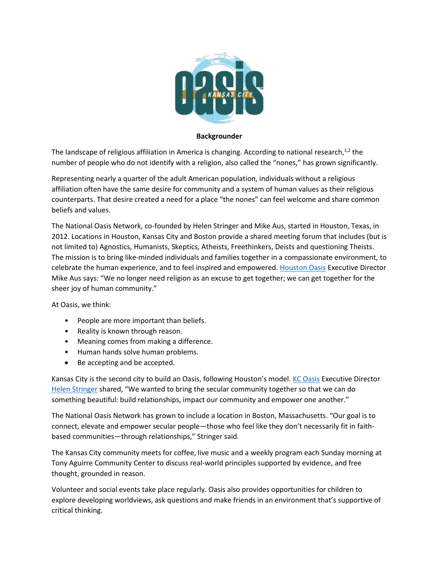

## **Backgrounder**

The landscape of religious affiliation in America is changing. According to national research,<sup>1,2</sup> the number of people who do not identify with a religion, also called the "nones," has grown significantly.

Representing nearly a quarter of the adult American population, individuals without a religious affiliation often have the same desire for community and a system of human values as their religious counterparts. That desire created a need for a place "the nones" can feel welcome and share common beliefs and values.

The National Oasis Network, co-founded by Helen Stringer and Mike Aus, started in Houston, Texas, in 2012. Locations in Houston, Kansas City and Boston provide a shared meeting forum that includes (but is not limited to) Agnostics, Humanists, Skeptics, Atheists, Freethinkers, Deists and questioning Theists. The mission is to bring like-minded individuals and families together in a compassionate environment, to celebrate the human experience, and to feel inspired and empowered. [Houston Oasis](http://www.houstonoasis.org/) Executive Director Mike Aus says: "We no longer need religion as an excuse to get together; we can get together for the sheer joy of human community."

At Oasis, we think:

- People are more important than beliefs.
- Reality is known through reason.
- Meaning comes from making a difference.
- Human hands solve human problems.
- Be accepting and be accepted.

Kansas City is the second city to build an Oasis, following Houston's model. [KC Oasis](http://www.kcoasis.org/) Executive Director [Helen Stringer](http://www.kcoasis.org/about-oasis/media-press/) shared, "We wanted to bring the secular community together so that we can do something beautiful: build relationships, impact our community and empower one another."

The National Oasis Network has grown to include a location in Boston, Massachusetts. "Our goal is to connect, elevate and empower secular people—those who feel like they don't necessarily fit in faithbased communities—through relationships," Stringer said.

The Kansas City community meets for coffee, live music and a weekly program each Sunday morning at Tony Aguirre Community Center to discuss real-world principles supported by evidence, and free thought, grounded in reason.

Volunteer and social events take place regularly. Oasis also provides opportunities for children to explore developing worldviews, ask questions and make friends in an environment that's supportive of critical thinking.